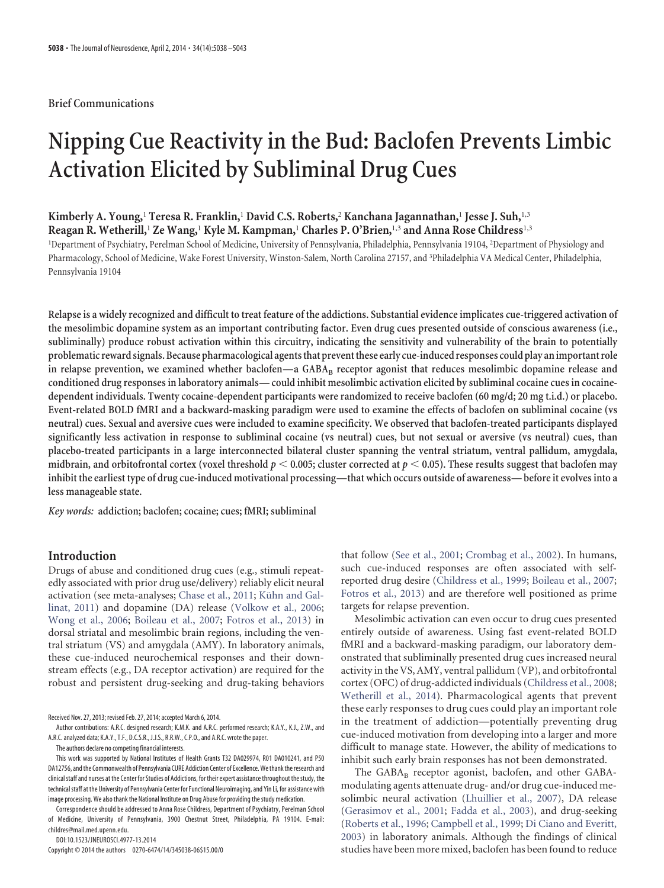# **Brief Communications**

# **Nipping Cue Reactivity in the Bud: Baclofen Prevents Limbic Activation Elicited by Subliminal Drug Cues**

# **Kimberly A. Young,**<sup>1</sup> **Teresa R. Franklin,**<sup>1</sup> **David C.S. Roberts,**<sup>2</sup> **Kanchana Jagannathan,**<sup>1</sup> **Jesse J. Suh,**1,3 **Reagan R. Wetherill,**<sup>1</sup> **Ze Wang,**<sup>1</sup> **Kyle M. Kampman,**<sup>1</sup> **Charles P. O'Brien,**1,3 **and Anna Rose Childress**1,3

<sup>1</sup>Department of Psychiatry, Perelman School of Medicine, University of Pennsylvania, Philadelphia, Pennsylvania 19104, <sup>2</sup>Department of Physiology and Pharmacology, School of Medicine, Wake Forest University, Winston-Salem, North Carolina 27157, and <sup>3</sup>Philadelphia VA Medical Center, Philadelphia, Pennsylvania 19104

**Relapse is a widely recognized and difficult to treat feature of the addictions. Substantial evidence implicates cue-triggered activation of the mesolimbic dopamine system as an important contributing factor. Even drug cues presented outside of conscious awareness (i.e., subliminally) produce robust activation within this circuitry, indicating the sensitivity and vulnerability of the brain to potentially** problematic reward signals. Because pharmacological agents that prevent these early cue-induced responses could play an important role in relapse prevention, we examined whether baclofen—a GABA<sub>B</sub> receptor agonist that reduces mesolimbic dopamine release and **conditioned drug responses in laboratory animals— could inhibit mesolimbic activation elicited by subliminal cocaine cues in cocainedependent individuals. Twenty cocaine-dependent participants were randomized to receive baclofen (60 mg/d; 20 mg t.i.d.) or placebo. Event-related BOLD fMRI and a backward-masking paradigm were used to examine the effects of baclofen on subliminal cocaine (vs neutral) cues. Sexual and aversive cues were included to examine specificity. We observed that baclofen-treated participants displayed significantly less activation in response to subliminal cocaine (vs neutral) cues, but not sexual or aversive (vs neutral) cues, than placebo-treated participants in a large interconnected bilateral cluster spanning the ventral striatum, ventral pallidum, amygdala,** midbrain, and orbitofrontal cortex (voxel threshold  $p < 0.005$ ; cluster corrected at  $p < 0.05$ ). These results suggest that baclofen may **inhibit the earliest type of drug cue-induced motivational processing—that which occurs outside of awareness—before it evolves into a less manageable state.**

*Key words:* **addiction; baclofen; cocaine; cues; fMRI; subliminal**

# **Introduction**

Drugs of abuse and conditioned drug cues (e.g., stimuli repeatedly associated with prior drug use/delivery) reliably elicit neural activation (see meta-analyses; [Chase et al., 2011;](#page-4-0) Kühn and Gal[linat, 2011\)](#page-5-0) and dopamine (DA) release [\(Volkow et al., 2006;](#page-5-1) [Wong et al., 2006;](#page-5-2) [Boileau et al., 2007;](#page-4-1) [Fotros et al., 2013\)](#page-5-3) in dorsal striatal and mesolimbic brain regions, including the ventral striatum (VS) and amygdala (AMY). In laboratory animals, these cue-induced neurochemical responses and their downstream effects (e.g., DA receptor activation) are required for the robust and persistent drug-seeking and drug-taking behaviors

Received Nov. 27, 2013; revised Feb. 27, 2014; accepted March 6, 2014.

Correspondence should be addressed to Anna Rose Childress, Department of Psychiatry, Perelman School of Medicine, University of Pennsylvania, 3900 Chestnut Street, Philadelphia, PA 19104. E-mail: childres@mail.med.upenn.edu.

DOI:10.1523/JNEUROSCI.4977-13.2014

Copyright © 2014 the authors 0270-6474/14/345038-06\$15.00/0

that follow [\(See et al., 2001;](#page-5-4) [Crombag et al., 2002\)](#page-4-2). In humans, such cue-induced responses are often associated with selfreported drug desire [\(Childress et al., 1999;](#page-4-3) [Boileau et al., 2007;](#page-4-1) [Fotros et al., 2013\)](#page-5-3) and are therefore well positioned as prime targets for relapse prevention.

Mesolimbic activation can even occur to drug cues presented entirely outside of awareness. Using fast event-related BOLD fMRI and a backward-masking paradigm, our laboratory demonstrated that subliminally presented drug cues increased neural activity in the VS, AMY, ventral pallidum (VP), and orbitofrontal cortex (OFC) of drug-addicted individuals [\(Childress et al., 2008;](#page-4-4) [Wetherill et al., 2014\)](#page-5-5). Pharmacological agents that prevent these early responses to drug cues could play an important role in the treatment of addiction—potentially preventing drug cue-induced motivation from developing into a larger and more difficult to manage state. However, the ability of medications to inhibit such early brain responses has not been demonstrated.

The GABAB receptor agonist, baclofen, and other GABAmodulating agents attenuate drug- and/or drug cue-induced mesolimbic neural activation [\(Lhuillier et al., 2007\)](#page-5-6), DA release [\(Gerasimov et al., 2001;](#page-5-7) [Fadda et al., 2003\)](#page-5-8), and drug-seeking [\(Roberts et al., 1996;](#page-5-9) [Campbell et al., 1999;](#page-4-5) [Di Ciano and Everitt,](#page-4-6) [2003\)](#page-4-6) in laboratory animals. Although the findings of clinical studies have been more mixed, baclofen has been found to reduce

Author contributions: A.R.C. designed research; K.M.K. and A.R.C. performed research; K.A.Y., K.J., Z.W., and A.R.C. analyzed data; K.A.Y., T.F., D.C.S.R., J.J.S., R.R.W., C.P.O., and A.R.C. wrote the paper.

The authors declare no competing financial interests.

This work was supported by National Institutes of Health Grants T32 DA029974, R01 DA010241, and P50 DA12756, and the Commonwealth of Pennsylvania CURE Addiction Center of Excellence.We thank the research and clinical staff and nurses at the Center for Studies of Addictions, for their expert assistance throughout the study, the technical staff at the University of Pennsylvania Center for Functional Neuroimaging, and Yin Li, for assistance with image processing. We also thank the National Institute on Drug Abuse for providing the study medication.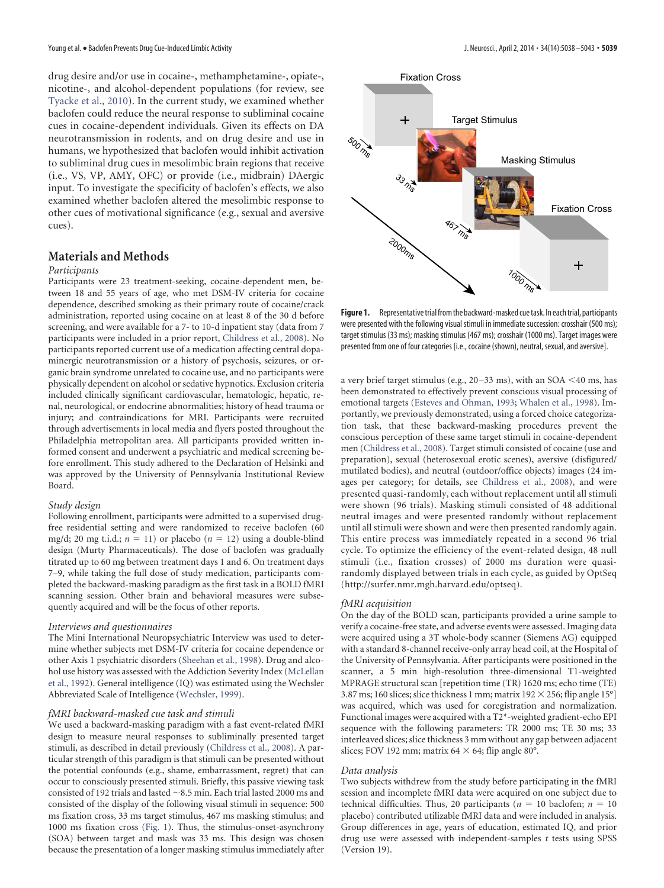drug desire and/or use in cocaine-, methamphetamine-, opiate-, nicotine-, and alcohol-dependent populations (for review, see [Tyacke et al., 2010\)](#page-5-10). In the current study, we examined whether baclofen could reduce the neural response to subliminal cocaine cues in cocaine-dependent individuals. Given its effects on DA neurotransmission in rodents, and on drug desire and use in humans, we hypothesized that baclofen would inhibit activation to subliminal drug cues in mesolimbic brain regions that receive (i.e., VS, VP, AMY, OFC) or provide (i.e., midbrain) DAergic input. To investigate the specificity of baclofen's effects, we also examined whether baclofen altered the mesolimbic response to other cues of motivational significance (e.g., sexual and aversive cues).

# **Materials and Methods**

#### *Participants*

Participants were 23 treatment-seeking, cocaine-dependent men, between 18 and 55 years of age, who met DSM-IV criteria for cocaine dependence, described smoking as their primary route of cocaine/crack administration, reported using cocaine on at least 8 of the 30 d before screening, and were available for a 7- to 10-d inpatient stay (data from 7 participants were included in a prior report, [Childress et al., 2008\)](#page-4-4). No participants reported current use of a medication affecting central dopaminergic neurotransmission or a history of psychosis, seizures, or organic brain syndrome unrelated to cocaine use, and no participants were physically dependent on alcohol or sedative hypnotics. Exclusion criteria included clinically significant cardiovascular, hematologic, hepatic, renal, neurological, or endocrine abnormalities; history of head trauma or injury; and contraindications for MRI. Participants were recruited through advertisements in local media and flyers posted throughout the Philadelphia metropolitan area. All participants provided written informed consent and underwent a psychiatric and medical screening before enrollment. This study adhered to the Declaration of Helsinki and was approved by the University of Pennsylvania Institutional Review Board.

#### *Study design*

Following enrollment, participants were admitted to a supervised drugfree residential setting and were randomized to receive baclofen (60 mg/d; 20 mg t.i.d.;  $n = 11$ ) or placebo ( $n = 12$ ) using a double-blind design (Murty Pharmaceuticals). The dose of baclofen was gradually titrated up to 60 mg between treatment days 1 and 6. On treatment days 7–9, while taking the full dose of study medication, participants completed the backward-masking paradigm as the first task in a BOLD fMRI scanning session. Other brain and behavioral measures were subsequently acquired and will be the focus of other reports.

#### *Interviews and questionnaires*

The Mini International Neuropsychiatric Interview was used to determine whether subjects met DSM-IV criteria for cocaine dependence or other Axis 1 psychiatric disorders [\(Sheehan et al., 1998\)](#page-5-11). Drug and alcohol use history was assessed with the Addiction Severity Index [\(McLellan](#page-5-12) [et al., 1992\)](#page-5-12). General intelligence (IQ) was estimated using the Wechsler Abbreviated Scale of Intelligence [\(Wechsler, 1999\)](#page-5-13).

## *fMRI backward-masked cue task and stimuli*

We used a backward-masking paradigm with a fast event-related fMRI design to measure neural responses to subliminally presented target stimuli, as described in detail previously [\(Childress et al., 2008\)](#page-4-4). A particular strength of this paradigm is that stimuli can be presented without the potential confounds (e.g., shame, embarrassment, regret) that can occur to consciously presented stimuli. Briefly, this passive viewing task consisted of 192 trials and lasted  $\sim$  8.5 min. Each trial lasted 2000 ms and consisted of the display of the following visual stimuli in sequence: 500 ms fixation cross, 33 ms target stimulus, 467 ms masking stimulus; and 1000 ms fixation cross [\(Fig. 1\)](#page-1-0). Thus, the stimulus-onset-asynchrony (SOA) between target and mask was 33 ms. This design was chosen because the presentation of a longer masking stimulus immediately after



<span id="page-1-0"></span>Figure 1. Representative trial from the backward-masked cue task. In each trial, participants were presented with the following visual stimuli in immediate succession: crosshair (500 ms); target stimulus (33 ms); masking stimulus (467 ms); crosshair (1000 ms). Target images were presented from one of four categories [i.e., cocaine (shown), neutral, sexual, and aversive].

a very brief target stimulus (e.g., 20–33 ms), with an SOA <40 ms, has been demonstrated to effectively prevent conscious visual processing of emotional targets [\(Esteves and Ohman, 1993;](#page-5-14) [Whalen et al., 1998\)](#page-5-15). Importantly, we previously demonstrated, using a forced choice categorization task, that these backward-masking procedures prevent the conscious perception of these same target stimuli in cocaine-dependent men [\(Childress et al., 2008\)](#page-4-4). Target stimuli consisted of cocaine (use and preparation), sexual (heterosexual erotic scenes), aversive (disfigured/ mutilated bodies), and neutral (outdoor/office objects) images (24 images per category; for details, see [Childress et al., 2008\)](#page-4-4), and were presented quasi-randomly, each without replacement until all stimuli were shown (96 trials). Masking stimuli consisted of 48 additional neutral images and were presented randomly without replacement until all stimuli were shown and were then presented randomly again. This entire process was immediately repeated in a second 96 trial cycle. To optimize the efficiency of the event-related design, 48 null stimuli (i.e., fixation crosses) of 2000 ms duration were quasirandomly displayed between trials in each cycle, as guided by OptSeq [\(http://surfer.nmr.mgh.harvard.edu/optseq\)](http://surfer.nmr.mgh.harvard.edu/optseq).

#### *fMRI acquisition*

On the day of the BOLD scan, participants provided a urine sample to verify a cocaine-free state, and adverse events were assessed. Imaging data were acquired using a 3T whole-body scanner (Siemens AG) equipped with a standard 8-channel receive-only array head coil, at the Hospital of the University of Pennsylvania. After participants were positioned in the scanner, a 5 min high-resolution three-dimensional T1-weighted MPRAGE structural scan [repetition time (TR) 1620 ms; echo time (TE) 3.87 ms; 160 slices; slice thickness 1 mm; matrix 192  $\times$  256; flip angle 15°] was acquired, which was used for coregistration and normalization. Functional images were acquired with a T2\*-weighted gradient-echo EPI sequence with the following parameters: TR 2000 ms; TE 30 ms; 33 interleaved slices; slice thickness 3 mm without any gap between adjacent slices; FOV 192 mm; matrix 64  $\times$  64; flip angle 80°.

#### *Data analysis*

Two subjects withdrew from the study before participating in the fMRI session and incomplete fMRI data were acquired on one subject due to technical difficulties. Thus, 20 participants ( $n = 10$  baclofen;  $n = 10$ placebo) contributed utilizable fMRI data and were included in analysis. Group differences in age, years of education, estimated IQ, and prior drug use were assessed with independent-samples *t* tests using SPSS (Version 19).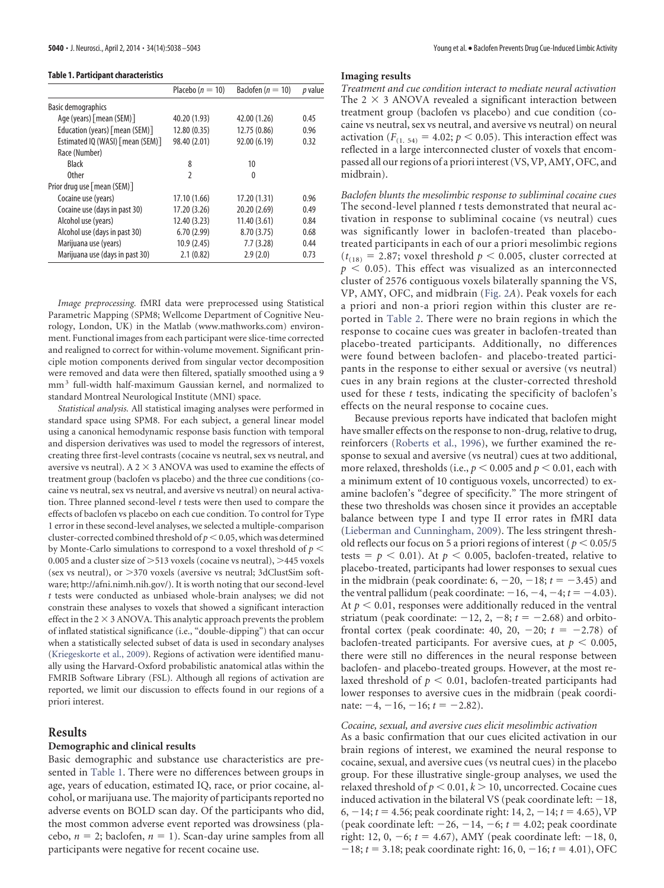<span id="page-2-0"></span>**Table 1. Participant characteristics**

|                                  | Placebo ( $n = 10$ ) | Baclofen ( $n = 10$ ) | p value |
|----------------------------------|----------------------|-----------------------|---------|
| <b>Basic demographics</b>        |                      |                       |         |
| Age (years) [mean (SEM)]         | 40.20 (1.93)         | 42.00 (1.26)          | 0.45    |
| Education (years) [mean (SEM)]   | 12.80 (0.35)         | 12.75 (0.86)          | 0.96    |
| Estimated IQ (WASI) [mean (SEM)] | 98.40 (2.01)         | 92.00 (6.19)          | 0.32    |
| Race (Number)                    |                      |                       |         |
| <b>Black</b>                     | 8                    | 10                    |         |
| <b>Other</b>                     | $\mathfrak{p}$       | 0                     |         |
| Prior drug use [mean (SEM)]      |                      |                       |         |
| Cocaine use (years)              | 17.10 (1.66)         | 17.20 (1.31)          | 0.96    |
| Cocaine use (days in past 30)    | 17.20 (3.26)         | 20.20 (2.69)          | 0.49    |
| Alcohol use (years)              | 12.40 (3.23)         | 11.40(3.61)           | 0.84    |
| Alcohol use (days in past 30)    | 6.70(2.99)           | 8.70 (3.75)           | 0.68    |
| Marijuana use (years)            | 10.9(2.45)           | 7.7(3.28)             | 0.44    |
| Marijuana use (days in past 30)  | 2.1(0.82)            | 2.9(2.0)              | 0.73    |
|                                  |                      |                       |         |

*Image preprocessing.* fMRI data were preprocessed using Statistical Parametric Mapping (SPM8; Wellcome Department of Cognitive Neurology, London, UK) in the Matlab [\(www.mathworks.com\)](http://www.mathworks.com) environment. Functional images from each participant were slice-time corrected and realigned to correct for within-volume movement. Significant principle motion components derived from singular vector decomposition were removed and data were then filtered, spatially smoothed using a 9 mm<sup>3</sup> full-width half-maximum Gaussian kernel, and normalized to standard Montreal Neurological Institute (MNI) space.

*Statistical analysis.* All statistical imaging analyses were performed in standard space using SPM8. For each subject, a general linear model using a canonical hemodynamic response basis function with temporal and dispersion derivatives was used to model the regressors of interest, creating three first-level contrasts (cocaine vs neutral, sex vs neutral, and aversive vs neutral). A 2  $\times$  3 ANOVA was used to examine the effects of treatment group (baclofen vs placebo) and the three cue conditions (cocaine vs neutral, sex vs neutral, and aversive vs neutral) on neural activation. Three planned second-level *t* tests were then used to compare the effects of baclofen vs placebo on each cue condition. To control for Type 1 error in these second-level analyses, we selected a multiple-comparison cluster-corrected combined threshold of  $p < 0.05$ , which was determined by Monte-Carlo simulations to correspond to a voxel threshold of  $p<$ 0.005 and a cluster size of  $>$  513 voxels (cocaine vs neutral),  $>$  445 voxels (sex vs neutral), or  $>370$  voxels (aversive vs neutral; 3dClustSim software; [http://afni.nimh.nih.gov/\)](http://afni.nimh.nih.gov/). It is worth noting that our second-level *t* tests were conducted as unbiased whole-brain analyses; we did not constrain these analyses to voxels that showed a significant interaction effect in the 2  $\times$  3 ANOVA. This analytic approach prevents the problem of inflated statistical significance (i.e., "double-dipping") that can occur when a statistically selected subset of data is used in secondary analyses [\(Kriegeskorte et al., 2009\)](#page-5-16). Regions of activation were identified manually using the Harvard-Oxford probabilistic anatomical atlas within the FMRIB Software Library (FSL). Although all regions of activation are reported, we limit our discussion to effects found in our regions of a priori interest.

# **Results**

## **Demographic and clinical results**

Basic demographic and substance use characteristics are presented in [Table 1.](#page-2-0) There were no differences between groups in age, years of education, estimated IQ, race, or prior cocaine, alcohol, or marijuana use. The majority of participants reported no adverse events on BOLD scan day. Of the participants who did, the most common adverse event reported was drowsiness (placebo,  $n = 2$ ; baclofen,  $n = 1$ ). Scan-day urine samples from all participants were negative for recent cocaine use.

### **Imaging results**

*Treatment and cue condition interact to mediate neural activation* The  $2 \times 3$  ANOVA revealed a significant interaction between treatment group (baclofen vs placebo) and cue condition (cocaine vs neutral, sex vs neutral, and aversive vs neutral) on neural activation ( $F_{(1, 54)} = 4.02$ ;  $p < 0.05$ ). This interaction effect was reflected in a large interconnected cluster of voxels that encompassed all our regions of a priori interest (VS, VP, AMY, OFC, and midbrain).

*Baclofen blunts the mesolimbic response to subliminal cocaine cues* The second-level planned *t* tests demonstrated that neural activation in response to subliminal cocaine (vs neutral) cues was significantly lower in baclofen-treated than placebotreated participants in each of our a priori mesolimbic regions  $(t_{(18)} = 2.87;$  voxel threshold  $p < 0.005$ , cluster corrected at  $p < 0.05$ ). This effect was visualized as an interconnected cluster of 2576 contiguous voxels bilaterally spanning the VS, VP, AMY, OFC, and midbrain [\(Fig. 2](#page-3-0)*A*). Peak voxels for each a priori and non-a priori region within this cluster are reported in [Table 2.](#page-3-1) There were no brain regions in which the response to cocaine cues was greater in baclofen-treated than placebo-treated participants. Additionally, no differences were found between baclofen- and placebo-treated participants in the response to either sexual or aversive (vs neutral) cues in any brain regions at the cluster-corrected threshold used for these *t* tests, indicating the specificity of baclofen's effects on the neural response to cocaine cues.

Because previous reports have indicated that baclofen might have smaller effects on the response to non-drug, relative to drug, reinforcers [\(Roberts et al., 1996\)](#page-5-9), we further examined the response to sexual and aversive (vs neutral) cues at two additional, more relaxed, thresholds (i.e.,  $p <$  0.005 and  $p <$  0.01, each with a minimum extent of 10 contiguous voxels, uncorrected) to examine baclofen's "degree of specificity." The more stringent of these two thresholds was chosen since it provides an acceptable balance between type I and type II error rates in fMRI data [\(Lieberman and Cunningham, 2009\)](#page-5-17). The less stringent threshold reflects our focus on 5 a priori regions of interest ( $p < 0.05/5$ tests =  $p$  < 0.01). At  $p$  < 0.005, baclofen-treated, relative to placebo-treated, participants had lower responses to sexual cues in the midbrain (peak coordinate:  $6, -20, -18; t = -3.45$ ) and the ventral pallidum (peak coordinate:  $-16, -4, -4; t = -4.03$ ). At  $p < 0.01$ , responses were additionally reduced in the ventral striatum (peak coordinate:  $-12$ , 2,  $-8$ ;  $t = -2.68$ ) and orbitofrontal cortex (peak coordinate: 40, 20,  $-20$ ;  $t = -2.78$ ) of baclofen-treated participants. For aversive cues, at  $p < 0.005$ , there were still no differences in the neural response between baclofen- and placebo-treated groups. However, at the most relaxed threshold of  $p < 0.01$ , baclofen-treated participants had lower responses to aversive cues in the midbrain (peak coordinate:  $-4$ ,  $-16$ ,  $-16$ ;  $t = -2.82$ ).

## *Cocaine, sexual, and aversive cues elicit mesolimbic activation*

As a basic confirmation that our cues elicited activation in our brain regions of interest, we examined the neural response to cocaine, sexual, and aversive cues (vs neutral cues) in the placebo group. For these illustrative single-group analyses, we used the relaxed threshold of  $p < 0.01, k > 10$ , uncorrected. Cocaine cues induced activation in the bilateral VS (peak coordinate left:  $-18$ , 6,  $-14$ ;  $t = 4.56$ ; peak coordinate right: 14, 2,  $-14$ ;  $t = 4.65$ ), VP (peak coordinate left:  $-26$ ,  $-14$ ,  $-6$ ;  $t = 4.02$ ; peak coordinate right: 12, 0,  $-6$ ;  $t = 4.67$ ), AMY (peak coordinate left:  $-18$ , 0,  $-18$ ;  $t = 3.18$ ; peak coordinate right: 16, 0,  $-16$ ;  $t = 4.01$ ), OFC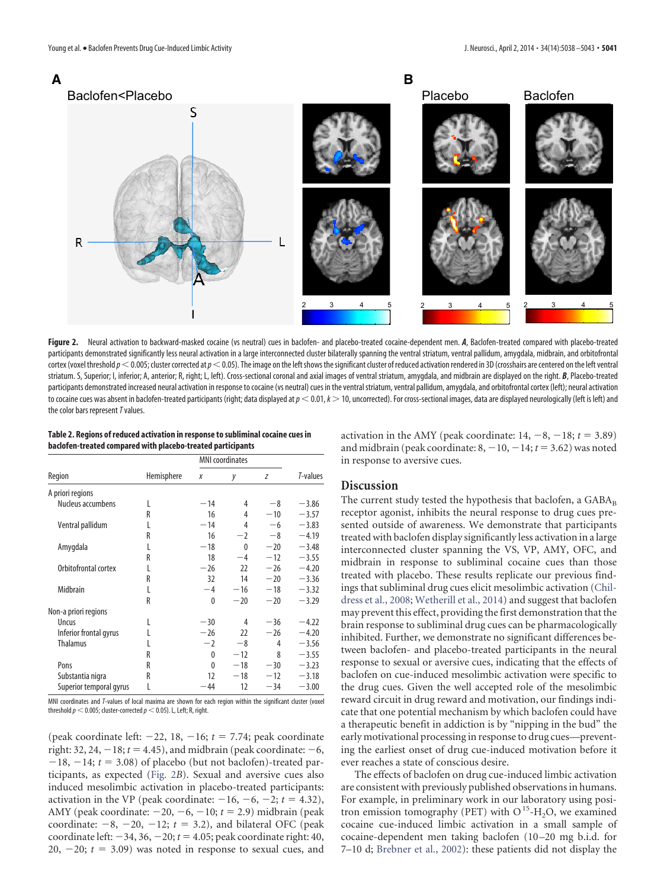

<span id="page-3-0"></span>Figure 2. Neural activation to backward-masked cocaine (vs neutral) cues in baclofen- and placebo-treated cocaine-dependent men. *A*, Baclofen-treated compared with placebo-treated participants demonstrated significantly less neural activation in a large interconnected cluster bilaterally spanning the ventral striatum, ventral pallidum, amygdala, midbrain, and orbitofrontal cortex (voxel threshold  $p$   $<$  0.005; cluster corrected at  $p$   $<$  0.05). The image on the left shows the significant cluster of reduced activation rendered in 3D (crosshairs are centered on the left ventral striatum. S, Superior; I, inferior; A, anterior; R, right; L, left). Cross-sectional coronal and axial images of ventral striatum, amygdala, and midbrain are displayed on the right. *B*, Placebo-treated participants demonstrated increased neural activation in response to cocaine (vs neutral) cues in the ventral striatum, ventral pallidum, amygdala, and orbitofrontal cortex (left); neural activation to cocaine cues was absent in baclofen-treated participants (right; data displayed at  $p < 0.01$ ,  $k > 10$ , uncorrected). For cross-sectional images, data are displayed neurologically (left is left) and the color bars represent*T*values.

<span id="page-3-1"></span>**Table 2. Regions of reduced activation in response to subliminal cocaine cues in baclofen-treated compared with placebo-treated participants**

|                         | Hemisphere | <b>MNI</b> coordinates |          |       |          |
|-------------------------|------------|------------------------|----------|-------|----------|
| Region                  |            | X                      | у        | Z     | T-values |
| A priori regions        |            |                        |          |       |          |
| Nucleus accumbens       | L          | $-14$                  | 4        | -8    | $-3.86$  |
|                         | R          | 16                     | 4        | $-10$ | $-3.57$  |
| Ventral pallidum        | L          | $-14$                  | 4        | $-6$  | $-3.83$  |
|                         | R          | 16                     | $-2$     | $-8$  | $-4.19$  |
| Amygdala                | L          | $-18$                  | $\Omega$ | $-20$ | $-3.48$  |
|                         | R          | 18                     | $-4$     | $-12$ | $-3.55$  |
| Orbitofrontal cortex    | L          | $-26$                  | 22       | $-26$ | $-4.20$  |
|                         | R          | 32                     | 14       | $-20$ | $-3.36$  |
| Midbrain                | L          | $-4$                   | $-16$    | $-18$ | $-3.32$  |
|                         | R          | $\theta$               | $-20$    | $-20$ | $-3.29$  |
| Non-a priori regions    |            |                        |          |       |          |
| <b>Uncus</b>            | L          | $-30$                  | 4        | $-36$ | $-4.22$  |
| Inferior frontal gyrus  | L          | $-26$                  | 22       | $-26$ | $-4.20$  |
| <b>Thalamus</b>         |            | $-2$                   | $-8$     | 4     | $-3.56$  |
|                         | R          | 0                      | $-12$    | 8     | $-3.55$  |
| Pons                    | R          | 0                      | $-18$    | $-30$ | $-3.23$  |
| Substantia nigra        | R          | 12                     | $-18$    | $-12$ | $-3.18$  |
| Superior temporal gyrus | L          | $-44$                  | 12       | $-34$ | $-3.00$  |

MNI coordinates and *T*-values of local maxima are shown for each region within the significant cluster (voxel threshold  $p <$  0.005; cluster-corrected  $p <$  0.05). L, Left; R, right.

(peak coordinate left:  $-22$ , 18,  $-16$ ;  $t = 7.74$ ; peak coordinate right:  $32$ ,  $24$ ,  $-18$ ;  $t = 4.45$ ), and midbrain (peak coordinate:  $-6$ ,  $-18$ ,  $-14$ ;  $t = 3.08$ ) of placebo (but not baclofen)-treated participants, as expected [\(Fig. 2](#page-3-0)*B*). Sexual and aversive cues also induced mesolimbic activation in placebo-treated participants: activation in the VP (peak coordinate:  $-16$ ,  $-6$ ,  $-2$ ;  $t = 4.32$ ), AMY (peak coordinate:  $-20$ ,  $-6$ ,  $-10$ ;  $t = 2.9$ ) midbrain (peak coordinate:  $-8$ ,  $-20$ ,  $-12$ ;  $t = 3.2$ ), and bilateral OFC (peak coordinate left:  $-34$ ,  $36$ ,  $-20$ ;  $t = 4.05$ ; peak coordinate right: 40, 20,  $-20$ ;  $t = 3.09$ ) was noted in response to sexual cues, and activation in the AMY (peak coordinate:  $14, -8, -18; t = 3.89$ ) and midbrain (peak coordinate:  $8, -10, -14; t = 3.62$ ) was noted in response to aversive cues.

# **Discussion**

The current study tested the hypothesis that baclofen, a  $GABA_B$ receptor agonist, inhibits the neural response to drug cues presented outside of awareness. We demonstrate that participants treated with baclofen display significantly less activation in a large interconnected cluster spanning the VS, VP, AMY, OFC, and midbrain in response to subliminal cocaine cues than those treated with placebo. These results replicate our previous findings that subliminal drug cues elicit mesolimbic activation [\(Chil](#page-4-4)[dress et al., 2008;](#page-4-4) [Wetherill et al., 2014\)](#page-5-5) and suggest that baclofen may prevent this effect, providing the first demonstration that the brain response to subliminal drug cues can be pharmacologically inhibited. Further, we demonstrate no significant differences between baclofen- and placebo-treated participants in the neural response to sexual or aversive cues, indicating that the effects of baclofen on cue-induced mesolimbic activation were specific to the drug cues. Given the well accepted role of the mesolimbic reward circuit in drug reward and motivation, our findings indicate that one potential mechanism by which baclofen could have a therapeutic benefit in addiction is by "nipping in the bud" the early motivational processing in response to drug cues—preventing the earliest onset of drug cue-induced motivation before it ever reaches a state of conscious desire.

The effects of baclofen on drug cue-induced limbic activation are consistent with previously published observations in humans. For example, in preliminary work in our laboratory using positron emission tomography (PET) with  $O<sup>15</sup>-H<sub>2</sub>O$ , we examined cocaine cue-induced limbic activation in a small sample of cocaine-dependent men taking baclofen (10 –20 mg b.i.d. for 7–10 d; [Brebner et al., 2002\)](#page-4-7): these patients did not display the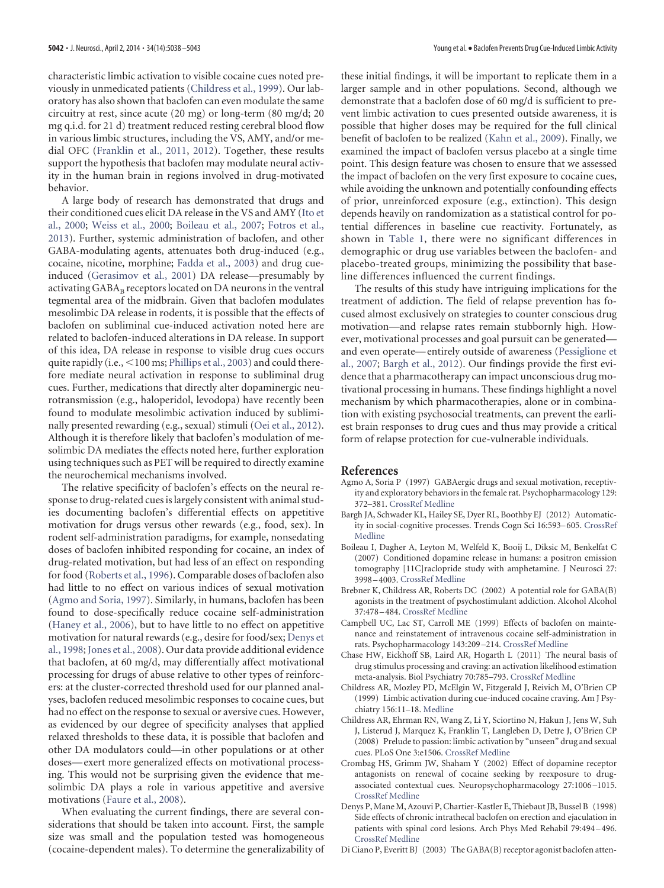characteristic limbic activation to visible cocaine cues noted previously in unmedicated patients [\(Childress et al., 1999\)](#page-4-3). Our laboratory has also shown that baclofen can even modulate the same circuitry at rest, since acute (20 mg) or long-term (80 mg/d; 20 mg q.i.d. for 21 d) treatment reduced resting cerebral blood flow in various limbic structures, including the VS, AMY, and/or medial OFC [\(Franklin et al., 2011,](#page-5-18) [2012\)](#page-5-19). Together, these results support the hypothesis that baclofen may modulate neural activity in the human brain in regions involved in drug-motivated behavior.

A large body of research has demonstrated that drugs and their conditioned cues elicit DA release in the VS and AMY [\(Ito et](#page-5-20) [al., 2000;](#page-5-20) [Weiss et al., 2000;](#page-5-21) [Boileau et al., 2007;](#page-4-1) [Fotros et al.,](#page-5-3) [2013\)](#page-5-3). Further, systemic administration of baclofen, and other GABA-modulating agents, attenuates both drug-induced (e.g., cocaine, nicotine, morphine; [Fadda et al., 2003\)](#page-5-8) and drug cueinduced [\(Gerasimov et al., 2001\)](#page-5-7) DA release—presumably by activating GABA<sub>B</sub> receptors located on DA neurons in the ventral tegmental area of the midbrain. Given that baclofen modulates mesolimbic DA release in rodents, it is possible that the effects of baclofen on subliminal cue-induced activation noted here are related to baclofen-induced alterations in DA release. In support of this idea, DA release in response to visible drug cues occurs quite rapidly (i.e., <100 ms; [Phillips et al., 2003\)](#page-5-22) and could therefore mediate neural activation in response to subliminal drug cues. Further, medications that directly alter dopaminergic neurotransmission (e.g., haloperidol, levodopa) have recently been found to modulate mesolimbic activation induced by subliminally presented rewarding (e.g., sexual) stimuli [\(Oei et al., 2012\)](#page-5-23). Although it is therefore likely that baclofen's modulation of mesolimbic DA mediates the effects noted here, further exploration using techniques such as PET will be required to directly examine the neurochemical mechanisms involved.

The relative specificity of baclofen's effects on the neural response to drug-related cues is largely consistent with animal studies documenting baclofen's differential effects on appetitive motivation for drugs versus other rewards (e.g., food, sex). In rodent self-administration paradigms, for example, nonsedating doses of baclofen inhibited responding for cocaine, an index of drug-related motivation, but had less of an effect on responding for food [\(Roberts et al., 1996\)](#page-5-9). Comparable doses of baclofen also had little to no effect on various indices of sexual motivation [\(Agmo and Soria, 1997\)](#page-4-8). Similarly, in humans, baclofen has been found to dose-specifically reduce cocaine self-administration [\(Haney et al., 2006\)](#page-5-24), but to have little to no effect on appetitive motivation for natural rewards (e.g., desire for food/sex; [Denys et](#page-4-9) [al., 1998;](#page-4-9) [Jones et al., 2008\)](#page-5-25). Our data provide additional evidence that baclofen, at 60 mg/d, may differentially affect motivational processing for drugs of abuse relative to other types of reinforcers: at the cluster-corrected threshold used for our planned analyses, baclofen reduced mesolimbic responses to cocaine cues, but had no effect on the response to sexual or aversive cues. However, as evidenced by our degree of specificity analyses that applied relaxed thresholds to these data, it is possible that baclofen and other DA modulators could—in other populations or at other doses— exert more generalized effects on motivational processing. This would not be surprising given the evidence that mesolimbic DA plays a role in various appetitive and aversive motivations [\(Faure et al., 2008\)](#page-5-26).

When evaluating the current findings, there are several considerations that should be taken into account. First, the sample size was small and the population tested was homogeneous (cocaine-dependent males). To determine the generalizability of these initial findings, it will be important to replicate them in a larger sample and in other populations. Second, although we demonstrate that a baclofen dose of 60 mg/d is sufficient to prevent limbic activation to cues presented outside awareness, it is possible that higher doses may be required for the full clinical benefit of baclofen to be realized [\(Kahn et al., 2009\)](#page-5-27). Finally, we examined the impact of baclofen versus placebo at a single time point. This design feature was chosen to ensure that we assessed the impact of baclofen on the very first exposure to cocaine cues, while avoiding the unknown and potentially confounding effects of prior, unreinforced exposure (e.g., extinction). This design depends heavily on randomization as a statistical control for potential differences in baseline cue reactivity. Fortunately, as shown in [Table 1,](#page-2-0) there were no significant differences in demographic or drug use variables between the baclofen- and placebo-treated groups, minimizing the possibility that baseline differences influenced the current findings.

The results of this study have intriguing implications for the treatment of addiction. The field of relapse prevention has focused almost exclusively on strategies to counter conscious drug motivation—and relapse rates remain stubbornly high. However, motivational processes and goal pursuit can be generated and even operate— entirely outside of awareness [\(Pessiglione et](#page-5-28) [al., 2007;](#page-5-28) [Bargh et al., 2012\)](#page-4-10). Our findings provide the first evidence that a pharmacotherapy can impact unconscious drug motivational processing in humans. These findings highlight a novel mechanism by which pharmacotherapies, alone or in combination with existing psychosocial treatments, can prevent the earliest brain responses to drug cues and thus may provide a critical form of relapse protection for cue-vulnerable individuals.

## **References**

- <span id="page-4-8"></span>Agmo A, Soria P (1997) GABAergic drugs and sexual motivation, receptivity and exploratory behaviors in the female rat. Psychopharmacology 129: 372–381. [CrossRef](http://dx.doi.org/10.1007/s002130050203) [Medline](http://www.ncbi.nlm.nih.gov/pubmed/9085407)
- <span id="page-4-10"></span>Bargh JA, Schwader KL, Hailey SE, Dyer RL, Boothby EJ (2012) Automaticity in social-cognitive processes. Trends Cogn Sci 16:593–605. [CrossRef](http://dx.doi.org/10.1016/j.tics.2012.10.002) [Medline](http://www.ncbi.nlm.nih.gov/pubmed/23127330)
- <span id="page-4-1"></span>Boileau I, Dagher A, Leyton M, Welfeld K, Booij L, Diksic M, Benkelfat C (2007) Conditioned dopamine release in humans: a positron emission tomography [11C]raclopride study with amphetamine. J Neurosci 27: 3998 –4003. [CrossRef](http://dx.doi.org/10.1523/JNEUROSCI.4370-06.2007) [Medline](http://www.ncbi.nlm.nih.gov/pubmed/17428975)
- <span id="page-4-7"></span>Brebner K, Childress AR, Roberts DC (2002) A potential role for GABA(B) agonists in the treatment of psychostimulant addiction. Alcohol Alcohol 37:478 –484. [CrossRef](http://dx.doi.org/10.1093/alcalc/37.5.478) [Medline](http://www.ncbi.nlm.nih.gov/pubmed/12217943)
- <span id="page-4-5"></span>Campbell UC, Lac ST, Carroll ME (1999) Effects of baclofen on maintenance and reinstatement of intravenous cocaine self-administration in rats. Psychopharmacology 143:209 –214. [CrossRef](http://dx.doi.org/10.1007/s002130050937) [Medline](http://www.ncbi.nlm.nih.gov/pubmed/10326784)
- <span id="page-4-0"></span>Chase HW, Eickhoff SB, Laird AR, Hogarth L (2011) The neural basis of drug stimulus processing and craving: an activation likelihood estimation meta-analysis. Biol Psychiatry 70:785–793. [CrossRef](http://dx.doi.org/10.1016/j.biopsych.2011.05.025) [Medline](http://www.ncbi.nlm.nih.gov/pubmed/21757184)
- <span id="page-4-3"></span>Childress AR, Mozley PD, McElgin W, Fitzgerald J, Reivich M, O'Brien CP (1999) Limbic activation during cue-induced cocaine craving. Am J Psychiatry 156:11–18. [Medline](http://www.ncbi.nlm.nih.gov/pubmed/9892292)
- <span id="page-4-4"></span>Childress AR, Ehrman RN, Wang Z, Li Y, Sciortino N, Hakun J, Jens W, Suh J, Listerud J, Marquez K, Franklin T, Langleben D, Detre J, O'Brien CP (2008) Prelude to passion: limbic activation by "unseen" drug and sexual cues. PLoS One 3:e1506. [CrossRef](http://dx.doi.org/10.1371/journal.pone.0001506) [Medline](http://www.ncbi.nlm.nih.gov/pubmed/18231593)
- <span id="page-4-2"></span>Crombag HS, Grimm JW, Shaham Y (2002) Effect of dopamine receptor antagonists on renewal of cocaine seeking by reexposure to drugassociated contextual cues. Neuropsychopharmacology 27:1006 –1015. [CrossRef](http://dx.doi.org/10.1016/S0893-133X(02)00356-1) [Medline](http://www.ncbi.nlm.nih.gov/pubmed/12464457)
- <span id="page-4-9"></span>Denys P, Mane M, Azouvi P, Chartier-Kastler E, Thiebaut JB, Bussel B (1998) Side effects of chronic intrathecal baclofen on erection and ejaculation in patients with spinal cord lesions. Arch Phys Med Rehabil 79:494 –496. [CrossRef](http://dx.doi.org/10.1016/S0003-9993(98)90061-2) [Medline](http://www.ncbi.nlm.nih.gov/pubmed/9596387)
- <span id="page-4-6"></span>Di Ciano P, Everitt BJ (2003) The GABA(B) receptor agonist baclofen atten-